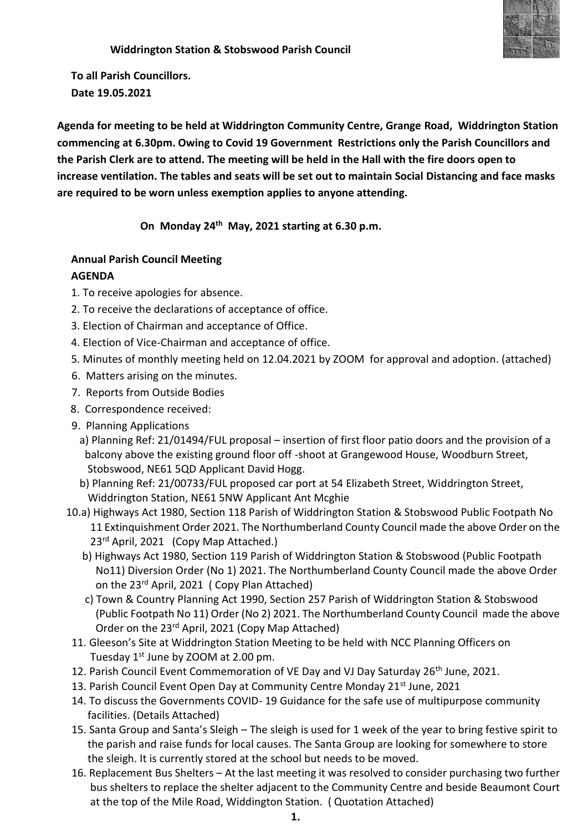

 **Widdrington Station & Stobswood Parish Council**

**To all Parish Councillors. Date 19.05.2021**

**Agenda for meeting to be held at Widdrington Community Centre, Grange Road, Widdrington Station commencing at 6.30pm. Owing to Covid 19 Government Restrictions only the Parish Councillors and the Parish Clerk are to attend. The meeting will be held in the Hall with the fire doors open to increase ventilation. The tables and seats will be set out to maintain Social Distancing and face masks are required to be worn unless exemption applies to anyone attending.** 

 **On Monday 24th May, 2021 starting at 6.30 p.m.**

## **Annual Parish Council Meeting**

## **AGENDA**

- 1. To receive apologies for absence.
- 2. To receive the declarations of acceptance of office.
- 3. Election of Chairman and acceptance of Office.
- 4. Election of Vice-Chairman and acceptance of office.
- 5. Minutes of monthly meeting held on 12.04.2021 by ZOOM for approval and adoption. (attached)
- 6. Matters arising on the minutes.
- 7. Reports from Outside Bodies
- 8. Correspondence received:
- 9. Planning Applications
	- a) Planning Ref: 21/01494/FUL proposal insertion of first floor patio doors and the provision of a balcony above the existing ground floor off -shoot at Grangewood House, Woodburn Street, Stobswood, NE61 5QD Applicant David Hogg.
	- b) Planning Ref: 21/00733/FUL proposed car port at 54 Elizabeth Street, Widdrington Street, Widdrington Station, NE61 5NW Applicant Ant Mcghie
- 10.a) Highways Act 1980, Section 118 Parish of Widdrington Station & Stobswood Public Footpath No 11 Extinquishment Order 2021. The Northumberland County Council made the above Order on the 23<sup>rd</sup> April, 2021 (Copy Map Attached.)
	- b) Highways Act 1980, Section 119 Parish of Widdrington Station & Stobswood (Public Footpath No11) Diversion Order (No 1) 2021. The Northumberland County Council made the above Order on the 23rd April, 2021 ( Copy Plan Attached)
	- c) Town & Country Planning Act 1990, Section 257 Parish of Widdrington Station & Stobswood (Public Footpath No 11) Order (No 2) 2021. The Northumberland County Council made the above Order on the 23rd April, 2021 (Copy Map Attached)
- 11. Gleeson's Site at Widdrington Station Meeting to be held with NCC Planning Officers on Tuesday  $1<sup>st</sup>$  June by ZOOM at 2.00 pm.
- 12. Parish Council Event Commemoration of VE Day and VJ Day Saturday 26<sup>th</sup> June, 2021.
- 13. Parish Council Event Open Day at Community Centre Monday 21st June, 2021
- 14. To discuss the Governments COVID- 19 Guidance for the safe use of multipurpose community facilities. (Details Attached)
- 15. Santa Group and Santa's Sleigh The sleigh is used for 1 week of the year to bring festive spirit to the parish and raise funds for local causes. The Santa Group are looking for somewhere to store the sleigh. It is currently stored at the school but needs to be moved.
- 16. Replacement Bus Shelters At the last meeting it was resolved to consider purchasing two further bus shelters to replace the shelter adjacent to the Community Centre and beside Beaumont Court at the top of the Mile Road, Widdington Station. ( Quotation Attached)